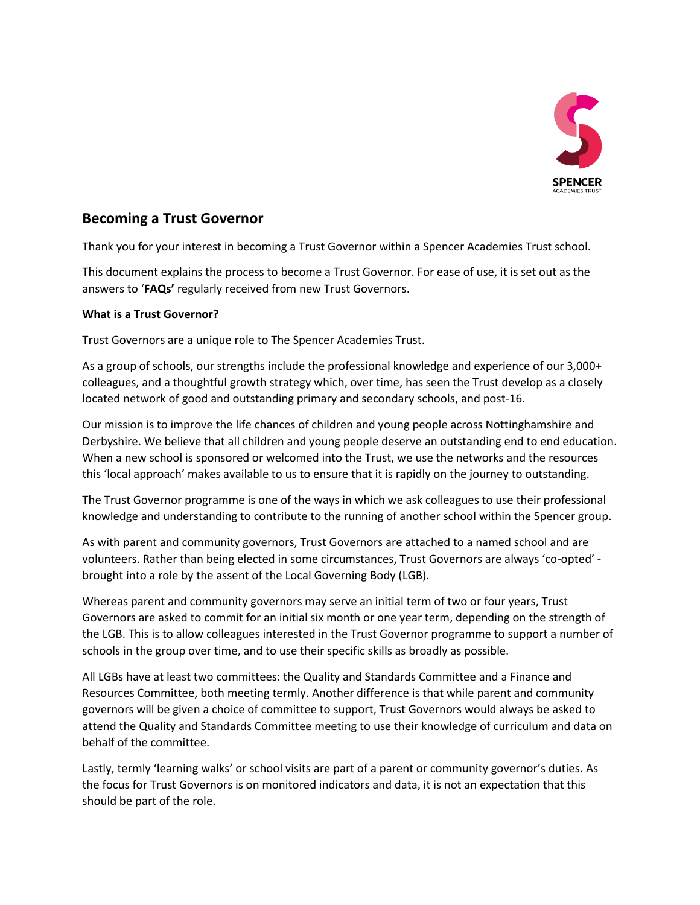

# **Becoming a Trust Governor**

Thank you for your interest in becoming a Trust Governor within a Spencer Academies Trust school.

This document explains the process to become a Trust Governor. For ease of use, it is set out as the answers to '**FAQs'** regularly received from new Trust Governors.

## **What is a Trust Governor?**

Trust Governors are a unique role to The Spencer Academies Trust.

As a group of schools, our strengths include the professional knowledge and experience of our 3,000+ colleagues, and a thoughtful growth strategy which, over time, has seen the Trust develop as a closely located network of good and outstanding primary and secondary schools, and post-16.

Our mission is to improve the life chances of children and young people across Nottinghamshire and Derbyshire. We believe that all children and young people deserve an outstanding end to end education. When a new school is sponsored or welcomed into the Trust, we use the networks and the resources this 'local approach' makes available to us to ensure that it is rapidly on the journey to outstanding.

The Trust Governor programme is one of the ways in which we ask colleagues to use their professional knowledge and understanding to contribute to the running of another school within the Spencer group.

As with parent and community governors, Trust Governors are attached to a named school and are volunteers. Rather than being elected in some circumstances, Trust Governors are always 'co-opted' brought into a role by the assent of the Local Governing Body (LGB).

Whereas parent and community governors may serve an initial term of two or four years, Trust Governors are asked to commit for an initial six month or one year term, depending on the strength of the LGB. This is to allow colleagues interested in the Trust Governor programme to support a number of schools in the group over time, and to use their specific skills as broadly as possible.

All LGBs have at least two committees: the Quality and Standards Committee and a Finance and Resources Committee, both meeting termly. Another difference is that while parent and community governors will be given a choice of committee to support, Trust Governors would always be asked to attend the Quality and Standards Committee meeting to use their knowledge of curriculum and data on behalf of the committee.

Lastly, termly 'learning walks' or school visits are part of a parent or community governor's duties. As the focus for Trust Governors is on monitored indicators and data, it is not an expectation that this should be part of the role.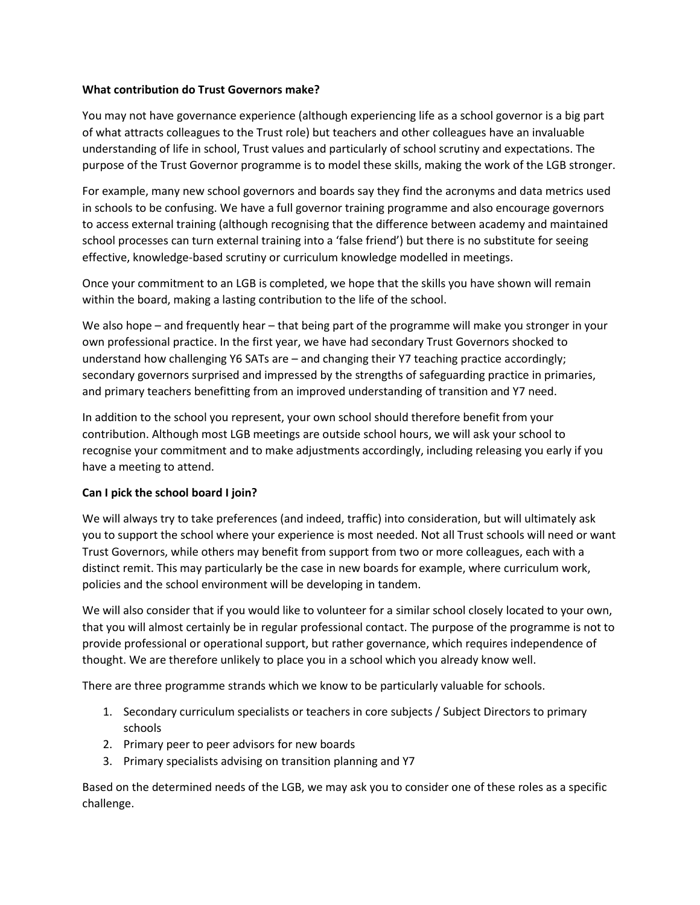## **What contribution do Trust Governors make?**

You may not have governance experience (although experiencing life as a school governor is a big part of what attracts colleagues to the Trust role) but teachers and other colleagues have an invaluable understanding of life in school, Trust values and particularly of school scrutiny and expectations. The purpose of the Trust Governor programme is to model these skills, making the work of the LGB stronger.

For example, many new school governors and boards say they find the acronyms and data metrics used in schools to be confusing. We have a full governor training programme and also encourage governors to access external training (although recognising that the difference between academy and maintained school processes can turn external training into a 'false friend') but there is no substitute for seeing effective, knowledge-based scrutiny or curriculum knowledge modelled in meetings.

Once your commitment to an LGB is completed, we hope that the skills you have shown will remain within the board, making a lasting contribution to the life of the school.

We also hope – and frequently hear – that being part of the programme will make you stronger in your own professional practice. In the first year, we have had secondary Trust Governors shocked to understand how challenging Y6 SATs are – and changing their Y7 teaching practice accordingly; secondary governors surprised and impressed by the strengths of safeguarding practice in primaries, and primary teachers benefitting from an improved understanding of transition and Y7 need.

In addition to the school you represent, your own school should therefore benefit from your contribution. Although most LGB meetings are outside school hours, we will ask your school to recognise your commitment and to make adjustments accordingly, including releasing you early if you have a meeting to attend.

## **Can I pick the school board I join?**

We will always try to take preferences (and indeed, traffic) into consideration, but will ultimately ask you to support the school where your experience is most needed. Not all Trust schools will need or want Trust Governors, while others may benefit from support from two or more colleagues, each with a distinct remit. This may particularly be the case in new boards for example, where curriculum work, policies and the school environment will be developing in tandem.

We will also consider that if you would like to volunteer for a similar school closely located to your own, that you will almost certainly be in regular professional contact. The purpose of the programme is not to provide professional or operational support, but rather governance, which requires independence of thought. We are therefore unlikely to place you in a school which you already know well.

There are three programme strands which we know to be particularly valuable for schools.

- 1. Secondary curriculum specialists or teachers in core subjects / Subject Directors to primary schools
- 2. Primary peer to peer advisors for new boards
- 3. Primary specialists advising on transition planning and Y7

Based on the determined needs of the LGB, we may ask you to consider one of these roles as a specific challenge.